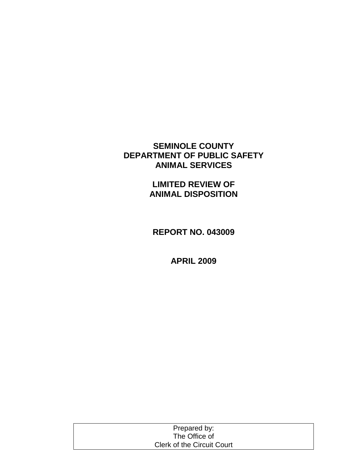# **SEMINOLE COUNTY DEPARTMENT OF PUBLIC SAFETY ANIMAL SERVICES**

**LIMITED REVIEW OF ANIMAL DISPOSITION**

**REPORT NO. 043009**

**APRIL 2009**

| Prepared by:                      |  |
|-----------------------------------|--|
| The Office of                     |  |
| <b>Clerk of the Circuit Court</b> |  |
|                                   |  |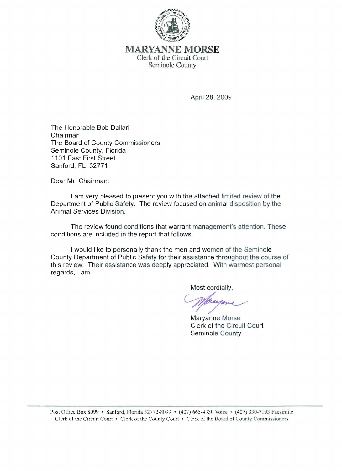

# MARYANNE **MORSE**  Clerk of the Circuit Court Seminole County

April 28, 2009

The Honorable Bob Dallari Chairman The Board of County Commissioners Seminole County, Florida 1101 East First Street Sanford, FL 32771

Dear Mr. Chairman:

I am very pleased to present you with the attached limited review of the Department of Public Safety. The review focused on animal disposition by the Animal Services Division.

The review found conditions that warrant management's attention. These conditions are included in the report that follows.

I would like to personally thank the men and women of the Seminole County Department of Public Safety for their assistance throughout the course of this review. Their assistance was deeply appreciated. With warmest personal regards, I am

Most cordially,

Wayone<br>Maryanne Morse

Clerk of the Circuit Court Seminole County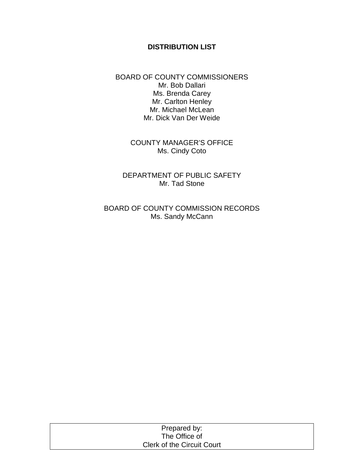# **DISTRIBUTION LIST**

BOARD OF COUNTY COMMISSIONERS Mr. Bob Dallari Ms. Brenda Carey Mr. Carlton Henley Mr. Michael McLean Mr. Dick Van Der Weide

> COUNTY MANAGER'S OFFICE Ms. Cindy Coto

DEPARTMENT OF PUBLIC SAFETY Mr. Tad Stone

BOARD OF COUNTY COMMISSION RECORDS Ms. Sandy McCann

| Prepared by:                      |  |
|-----------------------------------|--|
| The Office of                     |  |
| <b>Clerk of the Circuit Court</b> |  |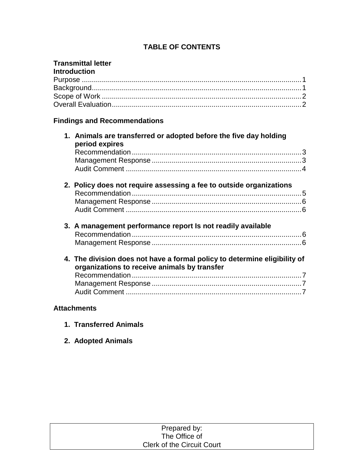# **TABLE OF CONTENTS**

# **Transmittal letter**

| <b>Introduction</b> |  |
|---------------------|--|
|                     |  |
|                     |  |
|                     |  |
|                     |  |

# **Findings and Recommendations**

| 2. Policy does not require assessing a fee to outside organizations       |
|---------------------------------------------------------------------------|
|                                                                           |
|                                                                           |
|                                                                           |
|                                                                           |
|                                                                           |
|                                                                           |
|                                                                           |
| 4. The division does not have a formal policy to determine eligibility of |
|                                                                           |
|                                                                           |
|                                                                           |
|                                                                           |

# **Attachments**

- **1. Transferred Animals**
- **2. Adopted Animals**

| Prepared by:                      |  |
|-----------------------------------|--|
| The Office of                     |  |
| <b>Clerk of the Circuit Court</b> |  |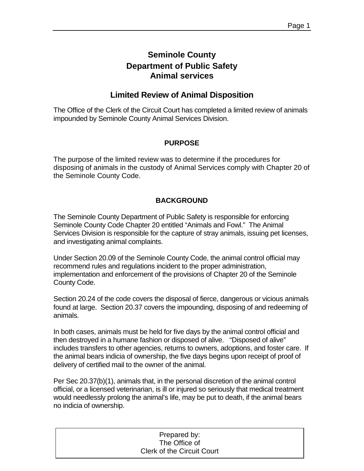# **Seminole County Department of Public Safety Animal services**

# **Limited Review of Animal Disposition**

The Office of the Clerk of the Circuit Court has completed a limited review of animals impounded by Seminole County Animal Services Division.

## **PURPOSE**

The purpose of the limited review was to determine if the procedures for disposing of animals in the custody of Animal Services comply with Chapter 20 of the Seminole County Code.

# **BACKGROUND**

The Seminole County Department of Public Safety is responsible for enforcing Seminole County Code Chapter 20 entitled "Animals and Fowl." The Animal Services Division is responsible for the capture of stray animals, issuing pet licenses, and investigating animal complaints.

Under Section 20.09 of the Seminole County Code, the animal control official may recommend rules and regulations incident to the proper administration, implementation and enforcement of the provisions of Chapter 20 of the Seminole County Code.

Section 20.24 of the code covers the disposal of fierce, dangerous or vicious animals found at large. Section 20.37 covers the impounding, disposing of and redeeming of animals.

In both cases, animals must be held for five days by the animal control official and then destroyed in a humane fashion or disposed of alive. "Disposed of alive" includes transfers to other agencies, returns to owners, adoptions, and foster care. If the animal bears indicia of ownership, the five days begins upon receipt of proof of delivery of certified mail to the owner of the animal.

Per Sec 20.37(b)(1), animals that, in the personal discretion of the animal control official, or a licensed veterinarian, is ill or injured so seriously that medical treatment would needlessly prolong the animal's life, may be put to death, if the animal bears no indicia of ownership.

| Prepared by:                      |
|-----------------------------------|
| The Office of                     |
| <b>Clerk of the Circuit Court</b> |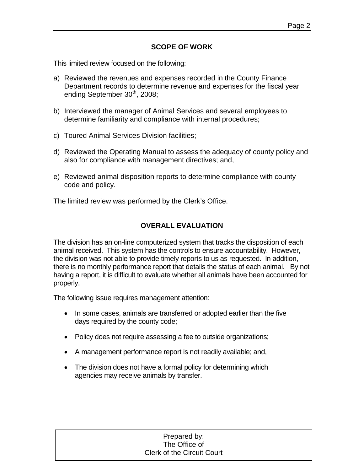## **SCOPE OF WORK**

This limited review focused on the following:

- a) Reviewed the revenues and expenses recorded in the County Finance Department records to determine revenue and expenses for the fiscal year ending September 30<sup>th</sup>, 2008;
- b) Interviewed the manager of Animal Services and several employees to determine familiarity and compliance with internal procedures;
- c) Toured Animal Services Division facilities;
- d) Reviewed the Operating Manual to assess the adequacy of county policy and also for compliance with management directives; and,
- e) Reviewed animal disposition reports to determine compliance with county code and policy.

The limited review was performed by the Clerk's Office.

## **OVERALL EVALUATION**

The division has an on-line computerized system that tracks the disposition of each animal received. This system has the controls to ensure accountability. However, the division was not able to provide timely reports to us as requested. In addition, there is no monthly performance report that details the status of each animal. By not having a report, it is difficult to evaluate whether all animals have been accounted for properly.

The following issue requires management attention:

- In some cases, animals are transferred or adopted earlier than the five days required by the county code;
- Policy does not require assessing a fee to outside organizations;
- A management performance report is not readily available; and,
- The division does not have a formal policy for determining which agencies may receive animals by transfer.

| Prepared by:                      |  |  |  |  |
|-----------------------------------|--|--|--|--|
| The Office of                     |  |  |  |  |
| <b>Clerk of the Circuit Court</b> |  |  |  |  |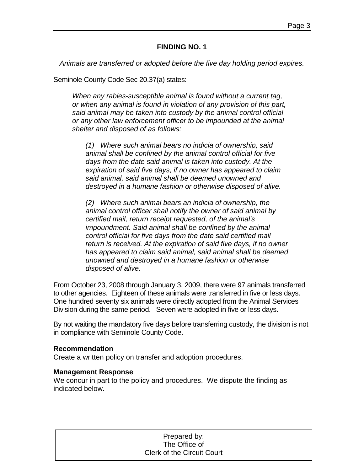### **FINDING NO. 1**

*Animals are transferred or adopted before the five day holding period expires.*

Seminole County Code Sec 20.37(a) states:

*When any rabies-susceptible animal is found without a current tag, or when any animal is found in violation of any provision of this part, said animal may be taken into custody by the animal control official or any other law enforcement officer to be impounded at the animal shelter and disposed of as follows:*

*(1) Where such animal bears no indicia of ownership, said animal shall be confined by the animal control official for five days from the date said animal is taken into custody. At the expiration of said five days, if no owner has appeared to claim said animal, said animal shall be deemed unowned and destroyed in a humane fashion or otherwise disposed of alive.*

*(2) Where such animal bears an indicia of ownership, the animal control officer shall notify the owner of said animal by certified mail, return receipt requested, of the animal's impoundment. Said animal shall be confined by the animal control official for five days from the date said certified mail return is received. At the expiration of said five days, if no owner has appeared to claim said animal, said animal shall be deemed unowned and destroyed in a humane fashion or otherwise disposed of alive.*

From October 23, 2008 through January 3, 2009, there were 97 animals transferred to other agencies. Eighteen of these animals were transferred in five or less days. One hundred seventy six animals were directly adopted from the Animal Services Division during the same period. Seven were adopted in five or less days.

By not waiting the mandatory five days before transferring custody, the division is not in compliance with Seminole County Code.

### **Recommendation**

Create a written policy on transfer and adoption procedures.

### **Management Response**

We concur in part to the policy and procedures. We dispute the finding as indicated below.

| Prepared by:                      |  |
|-----------------------------------|--|
| The Office of                     |  |
| <b>Clerk of the Circuit Court</b> |  |
|                                   |  |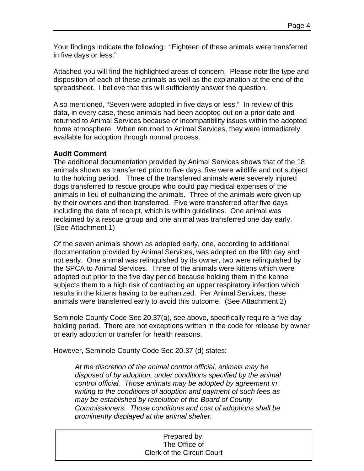Your findings indicate the following: "Eighteen of these animals were transferred in five days or less."

Attached you will find the highlighted areas of concern. Please note the type and disposition of each of these animals as well as the explanation at the end of the spreadsheet. I believe that this will sufficiently answer the question.

Also mentioned, "Seven were adopted in five days or less." In review of this data, in every case, these animals had been adopted out on a prior date and returned to Animal Services because of incompatibility issues within the adopted home atmosphere. When returned to Animal Services, they were immediately available for adoption through normal process.

## **Audit Comment**

The additional documentation provided by Animal Services shows that of the 18 animals shown as transferred prior to five days, five were wildlife and not subject to the holding period. Three of the transferred animals were severely injured dogs transferred to rescue groups who could pay medical expenses of the animals in lieu of euthanizing the animals. Three of the animals were given up by their owners and then transferred. Five were transferred after five days including the date of receipt, which is within guidelines. One animal was reclaimed by a rescue group and one animal was transferred one day early. (See Attachment 1)

Of the seven animals shown as adopted early, one, according to additional documentation provided by Animal Services, was adopted on the fifth day and not early. One animal was relinquished by its owner, two were relinquished by the SPCA to Animal Services. Three of the animals were kittens which were adopted out prior to the five day period because holding them in the kennel subjects them to a high risk of contracting an upper respiratory infection which results in the kittens having to be euthanized. Per Animal Services, these animals were transferred early to avoid this outcome. (See Attachment 2)

Seminole County Code Sec 20.37(a), see above, specifically require a five day holding period. There are not exceptions written in the code for release by owner or early adoption or transfer for health reasons.

However, Seminole County Code Sec 20.37 (d) states:

*At the discretion of the animal control official, animals may be disposed of by adoption, under conditions specified by the animal control official. Those animals may be adopted by agreement in writing to the conditions of adoption and payment of such fees as may be established by resolution of the Board of County Commissioners. Those conditions and cost of adoptions shall be prominently displayed at the animal shelter.*

#### Prepared by: The Office of Clerk of the Circuit Court Clerk of the Circuit Court Prepared by: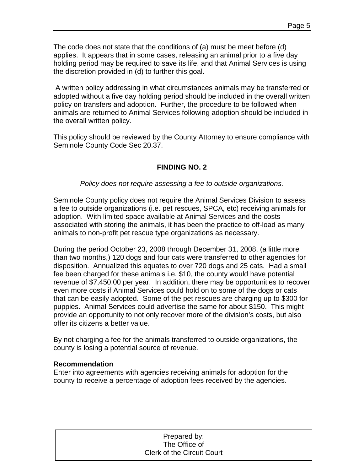The code does not state that the conditions of (a) must be meet before (d) applies. It appears that in some cases, releasing an animal prior to a five day holding period may be required to save its life, and that Animal Services is using the discretion provided in (d) to further this goal.

A written policy addressing in what circumstances animals may be transferred or adopted without a five day holding period should be included in the overall written policy on transfers and adoption. Further, the procedure to be followed when animals are returned to Animal Services following adoption should be included in the overall written policy.

This policy should be reviewed by the County Attorney to ensure compliance with Seminole County Code Sec 20.37.

# **FINDING NO. 2**

*Policy does not require assessing a fee to outside organizations.*

Seminole County policy does not require the Animal Services Division to assess a fee to outside organizations (i.e. pet rescues, SPCA, etc) receiving animals for adoption. With limited space available at Animal Services and the costs associated with storing the animals, it has been the practice to off-load as many animals to non-profit pet rescue type organizations as necessary.

During the period October 23, 2008 through December 31, 2008, (a little more than two months,) 120 dogs and four cats were transferred to other agencies for disposition. Annualized this equates to over 720 dogs and 25 cats. Had a small fee been charged for these animals i.e. \$10, the county would have potential revenue of \$7,450.00 per year. In addition, there may be opportunities to recover even more costs if Animal Services could hold on to some of the dogs or cats that can be easily adopted. Some of the pet rescues are charging up to \$300 for puppies. Animal Services could advertise the same for about \$150. This might provide an opportunity to not only recover more of the division's costs, but also offer its citizens a better value.

By not charging a fee for the animals transferred to outside organizations, the county is losing a potential source of revenue.

### **Recommendation**

Enter into agreements with agencies receiving animals for adoption for the county to receive a percentage of adoption fees received by the agencies.

| Prepared by:                      |  |
|-----------------------------------|--|
| The Office of                     |  |
| <b>Clerk of the Circuit Court</b> |  |
|                                   |  |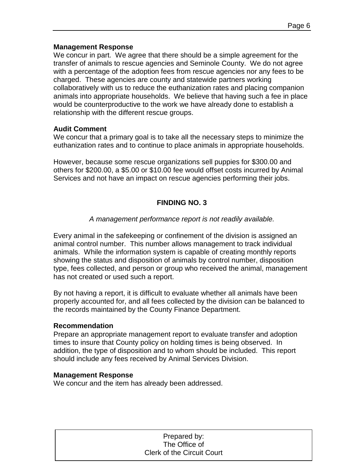### **Management Response**

We concur in part. We agree that there should be a simple agreement for the transfer of animals to rescue agencies and Seminole County. We do not agree with a percentage of the adoption fees from rescue agencies nor any fees to be charged. These agencies are county and statewide partners working collaboratively with us to reduce the euthanization rates and placing companion animals into appropriate households. We believe that having such a fee in place would be counterproductive to the work we have already done to establish a relationship with the different rescue groups.

### **Audit Comment**

We concur that a primary goal is to take all the necessary steps to minimize the euthanization rates and to continue to place animals in appropriate households.

However, because some rescue organizations sell puppies for \$300.00 and others for \$200.00, a \$5.00 or \$10.00 fee would offset costs incurred by Animal Services and not have an impact on rescue agencies performing their jobs.

## **FINDING NO. 3**

### *A management performance report is not readily available.*

Every animal in the safekeeping or confinement of the division is assigned an animal control number. This number allows management to track individual animals. While the information system is capable of creating monthly reports showing the status and disposition of animals by control number, disposition type, fees collected, and person or group who received the animal, management has not created or used such a report.

By not having a report, it is difficult to evaluate whether all animals have been properly accounted for, and all fees collected by the division can be balanced to the records maintained by the County Finance Department.

### **Recommendation**

Prepare an appropriate management report to evaluate transfer and adoption times to insure that County policy on holding times is being observed. In addition, the type of disposition and to whom should be included. This report should include any fees received by Animal Services Division.

### **Management Response**

We concur and the item has already been addressed.

| Prepared by:                      |  |  |  |  |
|-----------------------------------|--|--|--|--|
| The Office of                     |  |  |  |  |
| <b>Clerk of the Circuit Court</b> |  |  |  |  |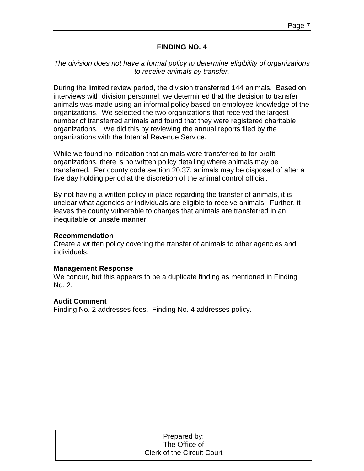### **FINDING NO. 4**

## *The division does not have a formal policy to determine eligibility of organizations to receive animals by transfer.*

During the limited review period, the division transferred 144 animals. Based on interviews with division personnel, we determined that the decision to transfer animals was made using an informal policy based on employee knowledge of the organizations. We selected the two organizations that received the largest number of transferred animals and found that they were registered charitable organizations. We did this by reviewing the annual reports filed by the organizations with the Internal Revenue Service.

While we found no indication that animals were transferred to for-profit organizations, there is no written policy detailing where animals may be transferred. Per county code section 20.37, animals may be disposed of after a five day holding period at the discretion of the animal control official.

By not having a written policy in place regarding the transfer of animals, it is unclear what agencies or individuals are eligible to receive animals. Further, it leaves the county vulnerable to charges that animals are transferred in an inequitable or unsafe manner.

### **Recommendation**

Create a written policy covering the transfer of animals to other agencies and individuals.

### **Management Response**

We concur, but this appears to be a duplicate finding as mentioned in Finding No. 2.

### **Audit Comment**

Finding No. 2 addresses fees. Finding No. 4 addresses policy.

| Prepared by:                      |  |
|-----------------------------------|--|
| The Office of                     |  |
| <b>Clerk of the Circuit Court</b> |  |
|                                   |  |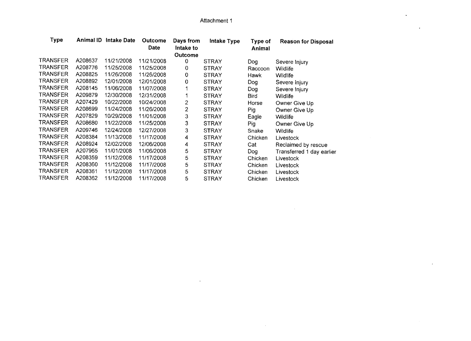$\sim$ 

 $\sim 10^{-1}$ 

| Type            | Animal ID | <b>Intake Date</b> | <b>Outcome</b><br>Date | Days from<br>Intake to | Intake Type  | Type of<br>Animal | <b>Reason for Disposal</b> |
|-----------------|-----------|--------------------|------------------------|------------------------|--------------|-------------------|----------------------------|
|                 |           |                    |                        | Outcome                |              |                   |                            |
| TRANSFER        | A208637   | 11/21/2008         | 11/21/2008             | 0                      | <b>STRAY</b> | Dog               | Severe Injury              |
| TRANSFER        | A208776   | 11/25/2008         | 11/25/2008             | 0                      | <b>STRAY</b> | Raccoon           | <b>Wildlife</b>            |
| TRANSFER        | A208825   | 11/26/2008         | 11/26/2008             | 0                      | <b>STRAY</b> | Hawk              | Wildlife                   |
| TRANSFER        | A208892   | 12/01/2008         | 12/01/2008             | 0                      | <b>STRAY</b> | Dog               | Severe Injury              |
| TRANSFER        | A208145   | 11/06/2008         | 11/07/2008             |                        | <b>STRAY</b> | Dog               | Severe Injury              |
| <b>TRANSFER</b> | A209879   | 12/30/2008         | 12/31/2008             |                        | <b>STRAY</b> | <b>Bird</b>       | Wildlife                   |
| TRANSFER        | A207429   | 10/22/2008         | 10/24/2008             | 2                      | <b>STRAY</b> | Horse             | Owner Give Up              |
| TRANSFER        | A208699   | 11/24/2008         | 11/26/2008             | 2                      | <b>STRAY</b> | <b>Pig</b>        | Owner Give Up              |
| TRANSFER        | A207829   | 10/29/2008         | 11/01/2008             | 3                      | <b>STRAY</b> | Eagle             | Wildlife                   |
| TRANSFER        | A208680   | 11/22/2008         | 11/25/2008             | 3                      | <b>STRAY</b> | Pig               | Owner Give Up              |
| <b>TRANSFER</b> | A209746   | 12/24/2008         | 12/27/2008             | 3                      | <b>STRAY</b> | Snake             | Wildlife                   |
| <b>TRANSFER</b> | A208384   | 11/13/2008         | 11/17/2008             | 4                      | <b>STRAY</b> | Chicken           | Livestock                  |
| TRANSFER        | A208924   | 12/02/2008         | 12/06/2008             | 4                      | <b>STRAY</b> | Cat               | Reclaimed by rescue        |
| TRANSFER        | A207965   | 11/01/2008         | 11/06/2008             | 5                      | <b>STRAY</b> | Dog               | Transferred 1 day earlier  |
| TRANSFER        | A208359   | 11/12/2008         | 11/17/2008             | 5                      | <b>STRAY</b> | Chicken           | Livestock                  |
| TRANSFER        | A208360   | 11/12/2008         | 11/17/2008             | 5                      | <b>STRAY</b> | Chicken           | Livestock                  |
| TRANSFER        | A208361   | 11/12/2008         | 11/17/2008             | 5                      | <b>STRAY</b> | Chicken           | Livestock                  |
| TRANSFER        | A208362   | 11/12/2008         | 11/17/2008             | 5                      | <b>STRAY</b> | Chicken           | Livestock                  |

 $\mathcal{A}$